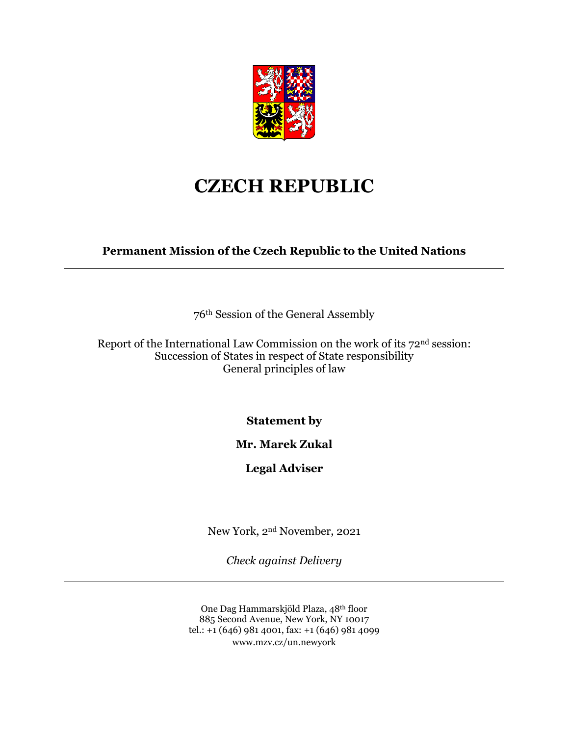

## **CZECH REPUBLIC**

**Permanent Mission of the Czech Republic to the United Nations**

76th Session of the General Assembly

Report of the International Law Commission on the work of its 72nd session: Succession of States in respect of State responsibility General principles of law

**Statement by**

## **Mr. Marek Zukal**

## **Legal Adviser**

New York, 2nd November, 2021

*Check against Delivery*

One Dag Hammarskjöld Plaza, 48th floor 885 Second Avenue, New York, NY 10017 tel.: +1 (646) 981 4001, fax: +1 (646) 981 4099 www.mzv.cz/un.newyork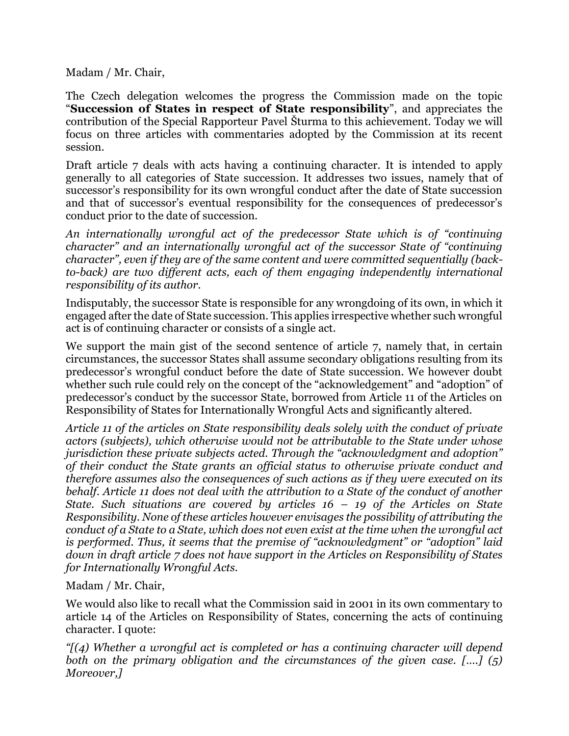Madam / Mr. Chair,

The Czech delegation welcomes the progress the Commission made on the topic "**Succession of States in respect of State responsibility**", and appreciates the contribution of the Special Rapporteur Pavel Šturma to this achievement. Today we will focus on three articles with commentaries adopted by the Commission at its recent session.

Draft article 7 deals with acts having a continuing character. It is intended to apply generally to all categories of State succession. It addresses two issues, namely that of successor's responsibility for its own wrongful conduct after the date of State succession and that of successor's eventual responsibility for the consequences of predecessor's conduct prior to the date of succession.

*An internationally wrongful act of the predecessor State which is of "continuing character" and an internationally wrongful act of the successor State of "continuing*  character", even if they are of the same content and were committed sequentially (back*to-back) are two different acts, each of them engaging independently international responsibility of its author.*

Indisputably, the successor State is responsible for any wrongdoing of its own, in which it engaged after the date of State succession. This applies irrespective whether such wrongful act is of continuing character or consists of a single act.

We support the main gist of the second sentence of article 7, namely that, in certain circumstances, the successor States shall assume secondary obligations resulting from its predecessor's wrongful conduct before the date of State succession. We however doubt whether such rule could rely on the concept of the "acknowledgement" and "adoption" of predecessor's conduct by the successor State, borrowed from Article 11 of the Articles on Responsibility of States for Internationally Wrongful Acts and significantly altered.

*Article 11 of the articles on State responsibility deals solely with the conduct of private actors (subjects), which otherwise would not be attributable to the State under whose jurisdiction these private subjects acted. Through the "acknowledgment and adoption" of their conduct the State grants an official status to otherwise private conduct and therefore assumes also the consequences of such actions as if they were executed on its behalf. Article 11 does not deal with the attribution to a State of the conduct of another State. Such situations are covered by articles 16 – 19 of the Articles on State Responsibility. None of these articles however envisages the possibility of attributing the conduct of a State to a State, which does not even exist at the time when the wrongful act is performed. Thus, it seems that the premise of "acknowledgment" or "adoption" laid down in draft article 7 does not have support in the Articles on Responsibility of States for Internationally Wrongful Acts.*

Madam / Mr. Chair,

We would also like to recall what the Commission said in 2001 in its own commentary to article 14 of the Articles on Responsibility of States, concerning the acts of continuing character. I quote:

*"[(4) Whether a wrongful act is completed or has a continuing character will depend both on the primary obligation and the circumstances of the given case. [….] (5) Moreover,]*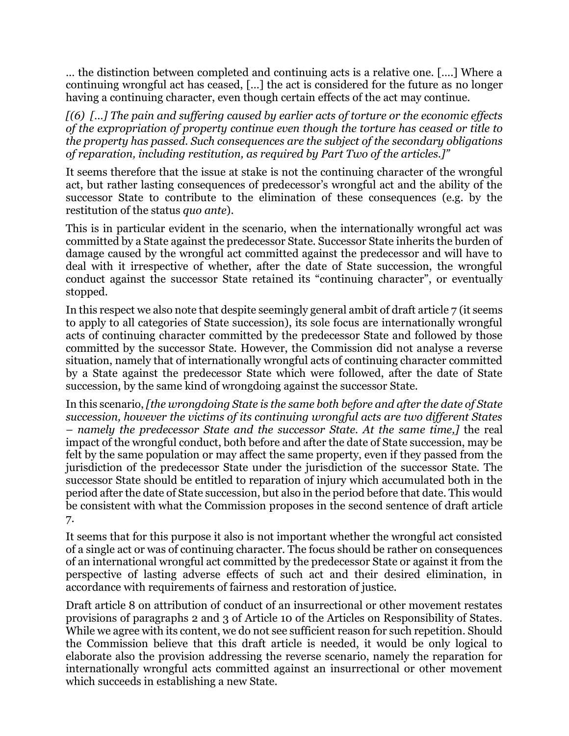… the distinction between completed and continuing acts is a relative one. [….] Where a continuing wrongful act has ceased, […] the act is considered for the future as no longer having a continuing character, even though certain effects of the act may continue.

*[(6) […] The pain and suffering caused by earlier acts of torture or the economic effects of the expropriation of property continue even though the torture has ceased or title to the property has passed. Such consequences are the subject of the secondary obligations of reparation, including restitution, as required by Part Two of the articles.]"*

It seems therefore that the issue at stake is not the continuing character of the wrongful act, but rather lasting consequences of predecessor's wrongful act and the ability of the successor State to contribute to the elimination of these consequences (e.g. by the restitution of the status *quo ante*).

This is in particular evident in the scenario, when the internationally wrongful act was committed by a State against the predecessor State. Successor State inherits the burden of damage caused by the wrongful act committed against the predecessor and will have to deal with it irrespective of whether, after the date of State succession, the wrongful conduct against the successor State retained its "continuing character", or eventually stopped.

In this respect we also note that despite seemingly general ambit of draft article 7 (it seems to apply to all categories of State succession), its sole focus are internationally wrongful acts of continuing character committed by the predecessor State and followed by those committed by the successor State. However, the Commission did not analyse a reverse situation, namely that of internationally wrongful acts of continuing character committed by a State against the predecessor State which were followed, after the date of State succession, by the same kind of wrongdoing against the successor State.

In this scenario, *[the wrongdoing State is the same both before and after the date of State succession, however the victims of its continuing wrongful acts are two different States – namely the predecessor State and the successor State. At the same time,]* the real impact of the wrongful conduct, both before and after the date of State succession, may be felt by the same population or may affect the same property, even if they passed from the jurisdiction of the predecessor State under the jurisdiction of the successor State. The successor State should be entitled to reparation of injury which accumulated both in the period after the date of State succession, but also in the period before that date. This would be consistent with what the Commission proposes in the second sentence of draft article 7.

It seems that for this purpose it also is not important whether the wrongful act consisted of a single act or was of continuing character. The focus should be rather on consequences of an international wrongful act committed by the predecessor State or against it from the perspective of lasting adverse effects of such act and their desired elimination, in accordance with requirements of fairness and restoration of justice.

Draft article 8 on attribution of conduct of an insurrectional or other movement restates provisions of paragraphs 2 and 3 of Article 10 of the Articles on Responsibility of States. While we agree with its content, we do not see sufficient reason for such repetition. Should the Commission believe that this draft article is needed, it would be only logical to elaborate also the provision addressing the reverse scenario, namely the reparation for internationally wrongful acts committed against an insurrectional or other movement which succeeds in establishing a new State.